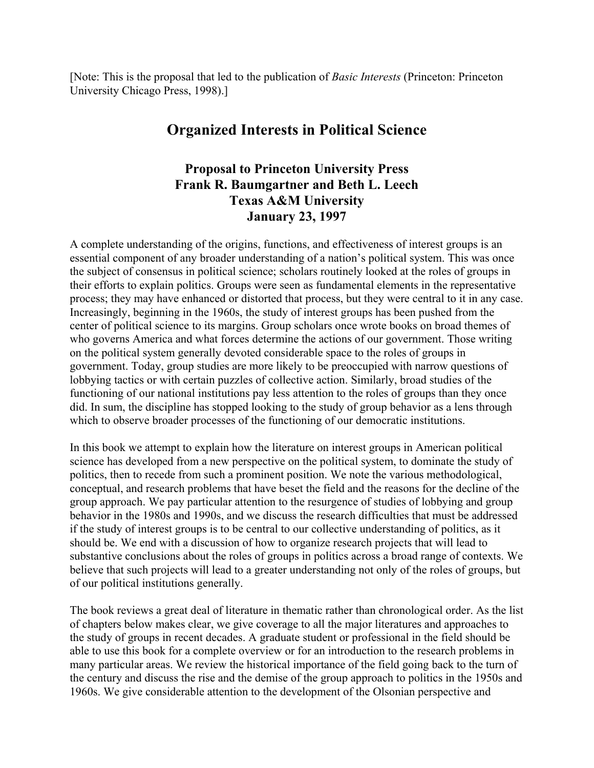[Note: This is the proposal that led to the publication of *Basic Interests* (Princeton: Princeton University Chicago Press, 1998).]

## **Organized Interests in Political Science**

## **Proposal to Princeton University Press Frank R. Baumgartner and Beth L. Leech Texas A&M University January 23, 1997**

A complete understanding of the origins, functions, and effectiveness of interest groups is an essential component of any broader understanding of a nation's political system. This was once the subject of consensus in political science; scholars routinely looked at the roles of groups in their efforts to explain politics. Groups were seen as fundamental elements in the representative process; they may have enhanced or distorted that process, but they were central to it in any case. Increasingly, beginning in the 1960s, the study of interest groups has been pushed from the center of political science to its margins. Group scholars once wrote books on broad themes of who governs America and what forces determine the actions of our government. Those writing on the political system generally devoted considerable space to the roles of groups in government. Today, group studies are more likely to be preoccupied with narrow questions of lobbying tactics or with certain puzzles of collective action. Similarly, broad studies of the functioning of our national institutions pay less attention to the roles of groups than they once did. In sum, the discipline has stopped looking to the study of group behavior as a lens through which to observe broader processes of the functioning of our democratic institutions.

In this book we attempt to explain how the literature on interest groups in American political science has developed from a new perspective on the political system, to dominate the study of politics, then to recede from such a prominent position. We note the various methodological, conceptual, and research problems that have beset the field and the reasons for the decline of the group approach. We pay particular attention to the resurgence of studies of lobbying and group behavior in the 1980s and 1990s, and we discuss the research difficulties that must be addressed if the study of interest groups is to be central to our collective understanding of politics, as it should be. We end with a discussion of how to organize research projects that will lead to substantive conclusions about the roles of groups in politics across a broad range of contexts. We believe that such projects will lead to a greater understanding not only of the roles of groups, but of our political institutions generally.

The book reviews a great deal of literature in thematic rather than chronological order. As the list of chapters below makes clear, we give coverage to all the major literatures and approaches to the study of groups in recent decades. A graduate student or professional in the field should be able to use this book for a complete overview or for an introduction to the research problems in many particular areas. We review the historical importance of the field going back to the turn of the century and discuss the rise and the demise of the group approach to politics in the 1950s and 1960s. We give considerable attention to the development of the Olsonian perspective and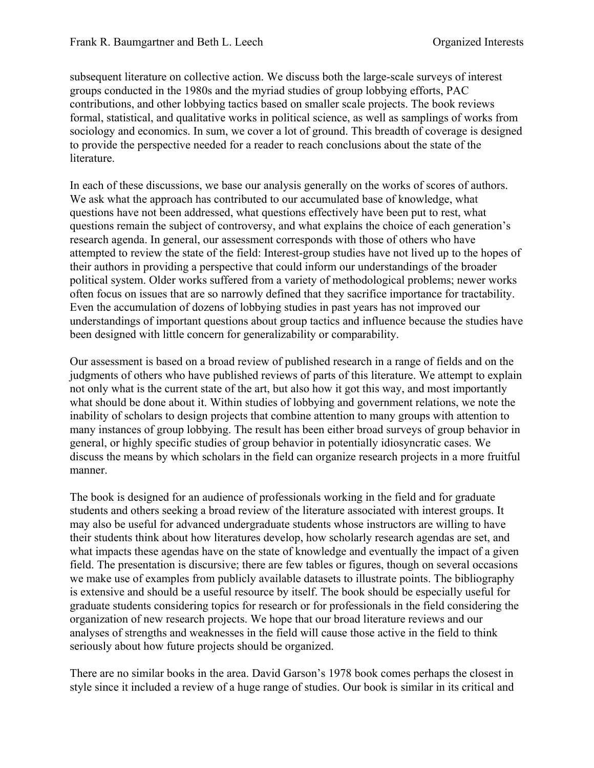subsequent literature on collective action. We discuss both the large-scale surveys of interest groups conducted in the 1980s and the myriad studies of group lobbying efforts, PAC contributions, and other lobbying tactics based on smaller scale projects. The book reviews formal, statistical, and qualitative works in political science, as well as samplings of works from sociology and economics. In sum, we cover a lot of ground. This breadth of coverage is designed to provide the perspective needed for a reader to reach conclusions about the state of the literature.

In each of these discussions, we base our analysis generally on the works of scores of authors. We ask what the approach has contributed to our accumulated base of knowledge, what questions have not been addressed, what questions effectively have been put to rest, what questions remain the subject of controversy, and what explains the choice of each generation's research agenda. In general, our assessment corresponds with those of others who have attempted to review the state of the field: Interest-group studies have not lived up to the hopes of their authors in providing a perspective that could inform our understandings of the broader political system. Older works suffered from a variety of methodological problems; newer works often focus on issues that are so narrowly defined that they sacrifice importance for tractability. Even the accumulation of dozens of lobbying studies in past years has not improved our understandings of important questions about group tactics and influence because the studies have been designed with little concern for generalizability or comparability.

Our assessment is based on a broad review of published research in a range of fields and on the judgments of others who have published reviews of parts of this literature. We attempt to explain not only what is the current state of the art, but also how it got this way, and most importantly what should be done about it. Within studies of lobbying and government relations, we note the inability of scholars to design projects that combine attention to many groups with attention to many instances of group lobbying. The result has been either broad surveys of group behavior in general, or highly specific studies of group behavior in potentially idiosyncratic cases. We discuss the means by which scholars in the field can organize research projects in a more fruitful manner.

The book is designed for an audience of professionals working in the field and for graduate students and others seeking a broad review of the literature associated with interest groups. It may also be useful for advanced undergraduate students whose instructors are willing to have their students think about how literatures develop, how scholarly research agendas are set, and what impacts these agendas have on the state of knowledge and eventually the impact of a given field. The presentation is discursive; there are few tables or figures, though on several occasions we make use of examples from publicly available datasets to illustrate points. The bibliography is extensive and should be a useful resource by itself. The book should be especially useful for graduate students considering topics for research or for professionals in the field considering the organization of new research projects. We hope that our broad literature reviews and our analyses of strengths and weaknesses in the field will cause those active in the field to think seriously about how future projects should be organized.

There are no similar books in the area. David Garson's 1978 book comes perhaps the closest in style since it included a review of a huge range of studies. Our book is similar in its critical and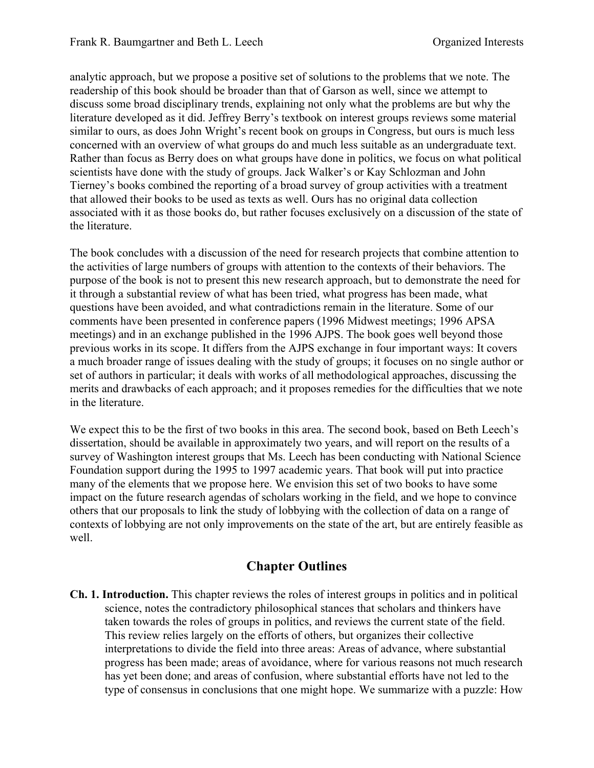analytic approach, but we propose a positive set of solutions to the problems that we note. The readership of this book should be broader than that of Garson as well, since we attempt to discuss some broad disciplinary trends, explaining not only what the problems are but why the literature developed as it did. Jeffrey Berry's textbook on interest groups reviews some material similar to ours, as does John Wright's recent book on groups in Congress, but ours is much less concerned with an overview of what groups do and much less suitable as an undergraduate text. Rather than focus as Berry does on what groups have done in politics, we focus on what political scientists have done with the study of groups. Jack Walker's or Kay Schlozman and John Tierney's books combined the reporting of a broad survey of group activities with a treatment that allowed their books to be used as texts as well. Ours has no original data collection associated with it as those books do, but rather focuses exclusively on a discussion of the state of the literature.

The book concludes with a discussion of the need for research projects that combine attention to the activities of large numbers of groups with attention to the contexts of their behaviors. The purpose of the book is not to present this new research approach, but to demonstrate the need for it through a substantial review of what has been tried, what progress has been made, what questions have been avoided, and what contradictions remain in the literature. Some of our comments have been presented in conference papers (1996 Midwest meetings; 1996 APSA meetings) and in an exchange published in the 1996 AJPS. The book goes well beyond those previous works in its scope. It differs from the AJPS exchange in four important ways: It covers a much broader range of issues dealing with the study of groups; it focuses on no single author or set of authors in particular; it deals with works of all methodological approaches, discussing the merits and drawbacks of each approach; and it proposes remedies for the difficulties that we note in the literature.

We expect this to be the first of two books in this area. The second book, based on Beth Leech's dissertation, should be available in approximately two years, and will report on the results of a survey of Washington interest groups that Ms. Leech has been conducting with National Science Foundation support during the 1995 to 1997 academic years. That book will put into practice many of the elements that we propose here. We envision this set of two books to have some impact on the future research agendas of scholars working in the field, and we hope to convince others that our proposals to link the study of lobbying with the collection of data on a range of contexts of lobbying are not only improvements on the state of the art, but are entirely feasible as well.

## **Chapter Outlines**

**Ch. 1. Introduction.** This chapter reviews the roles of interest groups in politics and in political science, notes the contradictory philosophical stances that scholars and thinkers have taken towards the roles of groups in politics, and reviews the current state of the field. This review relies largely on the efforts of others, but organizes their collective interpretations to divide the field into three areas: Areas of advance, where substantial progress has been made; areas of avoidance, where for various reasons not much research has yet been done; and areas of confusion, where substantial efforts have not led to the type of consensus in conclusions that one might hope. We summarize with a puzzle: How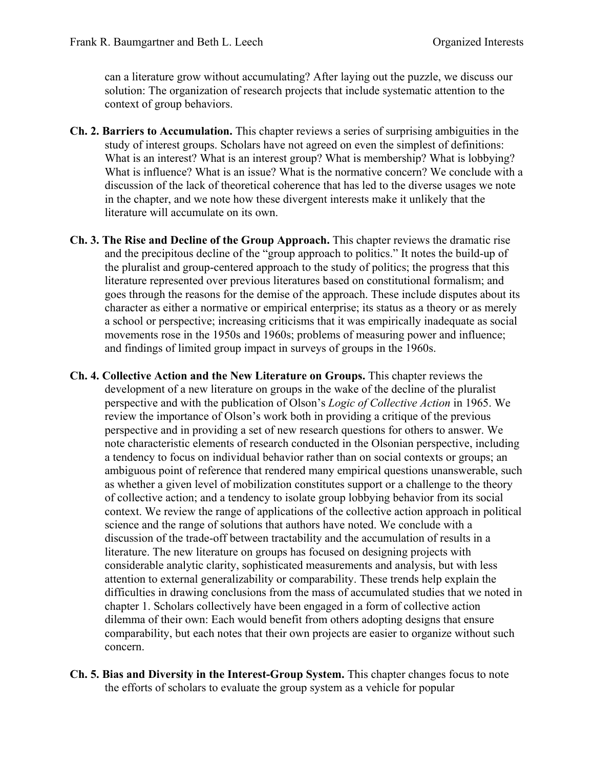can a literature grow without accumulating? After laying out the puzzle, we discuss our solution: The organization of research projects that include systematic attention to the context of group behaviors.

- **Ch. 2. Barriers to Accumulation.** This chapter reviews a series of surprising ambiguities in the study of interest groups. Scholars have not agreed on even the simplest of definitions: What is an interest? What is an interest group? What is membership? What is lobbying? What is influence? What is an issue? What is the normative concern? We conclude with a discussion of the lack of theoretical coherence that has led to the diverse usages we note in the chapter, and we note how these divergent interests make it unlikely that the literature will accumulate on its own.
- **Ch. 3. The Rise and Decline of the Group Approach.** This chapter reviews the dramatic rise and the precipitous decline of the "group approach to politics." It notes the build-up of the pluralist and group-centered approach to the study of politics; the progress that this literature represented over previous literatures based on constitutional formalism; and goes through the reasons for the demise of the approach. These include disputes about its character as either a normative or empirical enterprise; its status as a theory or as merely a school or perspective; increasing criticisms that it was empirically inadequate as social movements rose in the 1950s and 1960s; problems of measuring power and influence; and findings of limited group impact in surveys of groups in the 1960s.
- **Ch. 4. Collective Action and the New Literature on Groups.** This chapter reviews the development of a new literature on groups in the wake of the decline of the pluralist perspective and with the publication of Olson's *Logic of Collective Action* in 1965. We review the importance of Olson's work both in providing a critique of the previous perspective and in providing a set of new research questions for others to answer. We note characteristic elements of research conducted in the Olsonian perspective, including a tendency to focus on individual behavior rather than on social contexts or groups; an ambiguous point of reference that rendered many empirical questions unanswerable, such as whether a given level of mobilization constitutes support or a challenge to the theory of collective action; and a tendency to isolate group lobbying behavior from its social context. We review the range of applications of the collective action approach in political science and the range of solutions that authors have noted. We conclude with a discussion of the trade-off between tractability and the accumulation of results in a literature. The new literature on groups has focused on designing projects with considerable analytic clarity, sophisticated measurements and analysis, but with less attention to external generalizability or comparability. These trends help explain the difficulties in drawing conclusions from the mass of accumulated studies that we noted in chapter 1. Scholars collectively have been engaged in a form of collective action dilemma of their own: Each would benefit from others adopting designs that ensure comparability, but each notes that their own projects are easier to organize without such concern.
- **Ch. 5. Bias and Diversity in the Interest-Group System.** This chapter changes focus to note the efforts of scholars to evaluate the group system as a vehicle for popular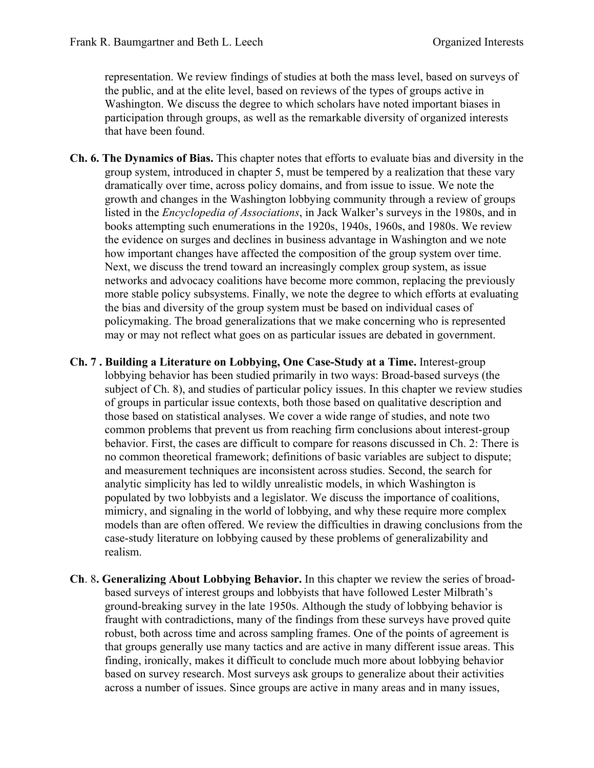representation. We review findings of studies at both the mass level, based on surveys of the public, and at the elite level, based on reviews of the types of groups active in Washington. We discuss the degree to which scholars have noted important biases in participation through groups, as well as the remarkable diversity of organized interests that have been found.

- **Ch. 6. The Dynamics of Bias.** This chapter notes that efforts to evaluate bias and diversity in the group system, introduced in chapter 5, must be tempered by a realization that these vary dramatically over time, across policy domains, and from issue to issue. We note the growth and changes in the Washington lobbying community through a review of groups listed in the *Encyclopedia of Associations*, in Jack Walker's surveys in the 1980s, and in books attempting such enumerations in the 1920s, 1940s, 1960s, and 1980s. We review the evidence on surges and declines in business advantage in Washington and we note how important changes have affected the composition of the group system over time. Next, we discuss the trend toward an increasingly complex group system, as issue networks and advocacy coalitions have become more common, replacing the previously more stable policy subsystems. Finally, we note the degree to which efforts at evaluating the bias and diversity of the group system must be based on individual cases of policymaking. The broad generalizations that we make concerning who is represented may or may not reflect what goes on as particular issues are debated in government.
- **Ch. 7 . Building a Literature on Lobbying, One Case-Study at a Time.** Interest-group lobbying behavior has been studied primarily in two ways: Broad-based surveys (the subject of Ch. 8), and studies of particular policy issues. In this chapter we review studies of groups in particular issue contexts, both those based on qualitative description and those based on statistical analyses. We cover a wide range of studies, and note two common problems that prevent us from reaching firm conclusions about interest-group behavior. First, the cases are difficult to compare for reasons discussed in Ch. 2: There is no common theoretical framework; definitions of basic variables are subject to dispute; and measurement techniques are inconsistent across studies. Second, the search for analytic simplicity has led to wildly unrealistic models, in which Washington is populated by two lobbyists and a legislator. We discuss the importance of coalitions, mimicry, and signaling in the world of lobbying, and why these require more complex models than are often offered. We review the difficulties in drawing conclusions from the case-study literature on lobbying caused by these problems of generalizability and realism.
- **Ch**. 8**. Generalizing About Lobbying Behavior.** In this chapter we review the series of broadbased surveys of interest groups and lobbyists that have followed Lester Milbrath's ground-breaking survey in the late 1950s. Although the study of lobbying behavior is fraught with contradictions, many of the findings from these surveys have proved quite robust, both across time and across sampling frames. One of the points of agreement is that groups generally use many tactics and are active in many different issue areas. This finding, ironically, makes it difficult to conclude much more about lobbying behavior based on survey research. Most surveys ask groups to generalize about their activities across a number of issues. Since groups are active in many areas and in many issues,